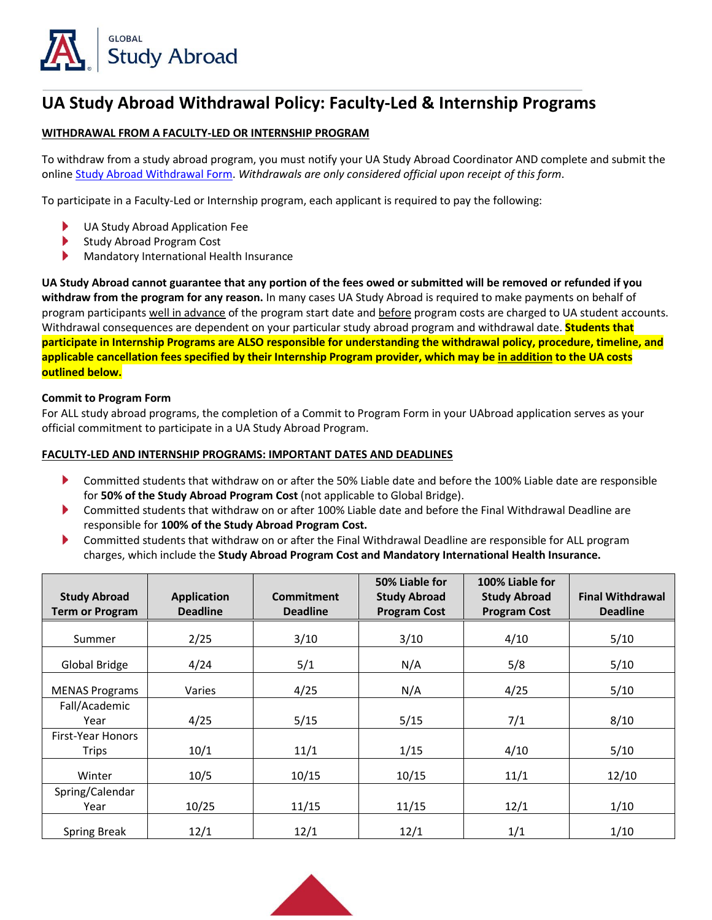

## **UA Study Abroad Withdrawal Policy: Faculty-Led & Internship Programs**

#### **WITHDRAWAL FROM A FACULTY-LED OR INTERNSHIP PROGRAM**

To withdraw from a study abroad program, you must notify your UA Study Abroad Coordinator AND complete and submit the online [Study Abroad Withdrawal Form.](https://global.arizona.edu/study-abroad-withdrawal-form) *Withdrawals are only considered official upon receipt of this form*.

To participate in a Faculty-Led or Internship program, each applicant is required to pay the following:

- UA Study Abroad Application Fee
- ь Study Abroad Program Cost
- Mandatory International Health Insurance ▶

**UA Study Abroad cannot guarantee that any portion of the fees owed or submitted will be removed or refunded if you withdraw from the program for any reason.** In many cases UA Study Abroad is required to make payments on behalf of program participants well in advance of the program start date and before program costs are charged to UA student accounts. Withdrawal consequences are dependent on your particular study abroad program and withdrawal date. **Students that participate in Internship Programs are ALSO responsible for understanding the withdrawal policy, procedure, timeline, and applicable cancellation fees specified by their Internship Program provider, which may be in addition to the UA costs outlined below.**

#### **Commit to Program Form**

For ALL study abroad programs, the completion of a Commit to Program Form in your UAbroad application serves as your official commitment to participate in a UA Study Abroad Program.

#### **FACULTY-LED AND INTERNSHIP PROGRAMS: IMPORTANT DATES AND DEADLINES**

- Þ Committed students that withdraw on or after the 50% Liable date and before the 100% Liable date are responsible for **50% of the Study Abroad Program Cost** (not applicable to Global Bridge).
- ▶ Committed students that withdraw on or after 100% Liable date and before the Final Withdrawal Deadline are responsible for **100% of the Study Abroad Program Cost.**
- ▶ Committed students that withdraw on or after the Final Withdrawal Deadline are responsible for ALL program charges, which include the **Study Abroad Program Cost and Mandatory International Health Insurance.**

| <b>Study Abroad</b><br><b>Term or Program</b> | <b>Application</b><br><b>Deadline</b> | Commitment<br><b>Deadline</b> | 50% Liable for<br><b>Study Abroad</b><br><b>Program Cost</b> | 100% Liable for<br><b>Study Abroad</b><br><b>Program Cost</b> | <b>Final Withdrawal</b><br><b>Deadline</b> |
|-----------------------------------------------|---------------------------------------|-------------------------------|--------------------------------------------------------------|---------------------------------------------------------------|--------------------------------------------|
| Summer                                        | 2/25                                  | 3/10                          | 3/10                                                         | 4/10                                                          | 5/10                                       |
| Global Bridge                                 | 4/24                                  | 5/1                           | N/A                                                          | 5/8                                                           | 5/10                                       |
| <b>MENAS Programs</b>                         | Varies                                | 4/25                          | N/A                                                          | 4/25                                                          | 5/10                                       |
| Fall/Academic<br>Year                         | 4/25                                  | 5/15                          | 5/15                                                         | 7/1                                                           | 8/10                                       |
| <b>First-Year Honors</b><br>Trips             | 10/1                                  | 11/1                          | 1/15                                                         | 4/10                                                          | 5/10                                       |
| Winter                                        | 10/5                                  | 10/15                         | 10/15                                                        | 11/1                                                          | 12/10                                      |
| Spring/Calendar<br>Year                       | 10/25                                 | 11/15                         | 11/15                                                        | 12/1                                                          | 1/10                                       |
| <b>Spring Break</b>                           | 12/1                                  | 12/1                          | 12/1                                                         | 1/1                                                           | 1/10                                       |